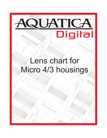

.<br>000

#### Micro 4/3 housings 72° 1,500  $2.472$ Lens chart for

Sol.5.

135°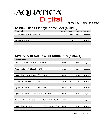

| 4" Bk-7 Glass Fisheye dome port (#30200) |                          |            |                |            |  |  |  |
|------------------------------------------|--------------------------|------------|----------------|------------|--|--|--|
| <b>Camera lens</b>                       | Zoom Gear                | Focus Gear | Port Extension | Dome Shade |  |  |  |
| Olympus M.Zuiko 8mm f/1.8 Fisheye Pro    | $\overline{\phantom{0}}$ | 30515      | 30603          | Integrated |  |  |  |
|                                          |                          |            |                |            |  |  |  |
| Panasonic Lumix G 8mm f/3.5              | $\overline{\phantom{a}}$ | 30503      |                | Integrated |  |  |  |
|                                          |                          |            |                |            |  |  |  |

| <b>SW8 Acrylic Super Wide Dome Port (#30205)</b>      |           |                   |                |            |  |
|-------------------------------------------------------|-----------|-------------------|----------------|------------|--|
| <b>Camera lens</b>                                    | Zoom Gear | <b>Focus Gear</b> | Port Extension | Dome Shade |  |
| Olympus M.Zuiko 12-40mm f/2.8 ED PRO                  | 30506     |                   | 30602          | Integrated |  |
|                                                       |           |                   |                |            |  |
| Panasonic Lumix 7-14mm f/4 ASPH                       | 30504     |                   | 30601          | Integrated |  |
|                                                       |           |                   |                |            |  |
| Panasonic Lumix G 12-35mm f/2.8 ASPH                  | 30510     |                   | 30604          | Integrated |  |
|                                                       |           |                   |                |            |  |
| Olympus M. Zuiko 9-18mm f/4.0-5.6 ED                  | 30505     |                   | 30602          | Integrated |  |
|                                                       |           |                   |                |            |  |
| Olympus M. Zuiko 14-42mm f/3.5-5.6 II R               | 30505     |                   | 30604          | Integrated |  |
|                                                       |           |                   |                |            |  |
| Olympus M. Zuiko 12-50mm f/3.5-6.3 MSC ED             | 30507     |                   | 30604          | Integrated |  |
|                                                       |           |                   |                |            |  |
| Panasonic Leica DG Vario-Elmarit 8-18mm f/2.8-4 ASPH  | 30518     |                   | 30602          | Integrated |  |
|                                                       |           |                   |                |            |  |
| Panasonic Leica DG Vario-Elmarit 12-60mm f/2.8-4 ASPH | 30519     |                   | 30602          | Integrated |  |
|                                                       |           |                   |                |            |  |

Revised Jan.25, 2022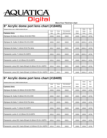

| 8" Acrylic dome port lens chart (#18405)              |       |              |                 |       |         |       |
|-------------------------------------------------------|-------|--------------|-----------------|-------|---------|-------|
| Neoprene dome cover #18500 included with port         |       |              |                 |       | Dome    | Rear  |
|                                                       | Zoom  | <b>Focus</b> | Port extension  | Dome  | Shade   | Port  |
| <b>Camera lens</b>                                    | Gear  | Gear         | with Focus knob | Shade | Cover   | Cover |
| Olympus M.Zuiko 12-40mm f/2.8 ED PRO                  | 30506 | 30526        | 30620           | 18480 | 18503.1 | 18790 |
| Olympus M. Zuiko 9-18mm f/4.0-5.6 ED                  | 30505 | 30527        | 30620           | 18480 | 18503.1 | 18790 |
|                                                       |       |              |                 |       |         |       |
| Olympus M.Zuiko 7-14mm f/2.8 Pro lens                 | 30517 | 30525        | 30621           | 18480 | 18503.1 | 18790 |
| Panasonic Lumix 7-14mm f/4 ASPH                       | 30504 | 30523        | 30620           | 18480 | 18503.1 | 18790 |
| Panasonic Lumix G 12-35mm f/2.8 ASPH                  | 30510 | 30522        | 30620           | 18480 | 18503.1 | 18790 |
|                                                       |       |              |                 |       |         |       |
| Panasonic Leica DG Vario-Elmarit 8-18mm f/2.8-4 ASPH  | 30518 | 30524        | 30621           | 18480 | 18503.1 | 18790 |
| Panasonic Leica DG Vario-Elmarit 12-60mm f/2.8-4 ASPH | 30519 | 30521        | 30620           | 18480 | 18503.1 | 18790 |

## **6" Acrylic dome port lens chart (#18409)**

| Neoprene dome cover #18502 included with port         |       |              |                 |       | Dome  | Rear  |
|-------------------------------------------------------|-------|--------------|-----------------|-------|-------|-------|
|                                                       | Zoom  | <b>Focus</b> | Port extension  | Dome  | Shade | Port  |
| <b>Camera lens</b>                                    | Gear  | Gear         | with Focus knob | Shade | Cover | Cover |
| Olympus M.Zuiko 12-40mm f/2.8 ED PRO                  | 30506 | 30526        | 30620           | 18484 | 18504 | 18790 |
|                                                       |       |              |                 |       |       |       |
| Olympus M. Zuiko 9-18mm f/4.0-5.6 ED                  | 30505 | 30527        | 30620           | 18484 | 18504 | 18790 |
|                                                       |       |              |                 |       |       |       |
| Olympus M.Zuiko 7-14mm f/2.8 Pro lens                 | 30517 | 30525        | 30621           | 18484 | 18504 | 18790 |
|                                                       |       |              |                 |       |       |       |
| Panasonic Lumix 7-14mm f/4 ASPH                       | 30504 | 30523        | 30620           | 18484 | 18504 | 18790 |
|                                                       |       |              |                 |       |       |       |
| Panasonic Lumix G 12-35mm f/2.8 ASPH                  | 30510 | 30522        | 30620           | 18484 | 18504 | 18790 |
|                                                       |       |              |                 |       |       |       |
| Panasonic Leica DG Vario-Elmarit 8-18mm f/2.8-4 ASPH  | 30518 | 30524        | 30621           | 18484 | 18504 | 18790 |
|                                                       |       |              |                 |       |       |       |
| Panasonic Leica DG Vario-Elmarit 12-60mm f/2.8-4 ASPH | 30519 | 30521        | 30620           | 18484 | 18504 | 18790 |

|       | Dome  | Rear  |
|-------|-------|-------|
| Dome  | Shade | Port  |
| Shade | Cover | Cover |
| 18484 | 18504 | 18790 |
|       |       |       |
| 18484 | 18504 | 18790 |
|       |       |       |
| 18484 | 18504 | 18790 |
|       |       |       |
| 18484 | 18504 | 18790 |
|       |       |       |
| 18484 | 18504 | 18790 |
|       |       |       |
| 18484 | 18504 | 18790 |
|       |       |       |
| 18484 | 18504 | 18790 |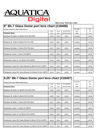

### **8" Bk-7 Glass Dome port lens chart (#18408)**

| Neoprene dome cover #18501 included with port         |       |              |                 | Removable | Rear  |
|-------------------------------------------------------|-------|--------------|-----------------|-----------|-------|
|                                                       | Zoom  | <b>Focus</b> | Port extension  | Dome      | Port  |
| <b>Camera lens</b>                                    | Gear  | Gear         | with Focus knob | Shade     | Cover |
| Olympus M.Zuiko 12-40mm f/2.8 ED PRO                  | 30506 | 30526        | 30620           | Included  | 18790 |
|                                                       |       |              |                 |           |       |
| Olympus M. Zuiko 9-18mm f/4.0-5.6 ED                  | 30505 | 30527        | 30620           | Included  | 18790 |
|                                                       |       |              |                 |           |       |
| Olympus M.Zuiko 7-14mm f/2.8 Pro lens                 | 30517 | 30525        | 30621           | Included  | 18790 |
|                                                       |       |              |                 |           |       |
| IPanasonic Lumix 7-14mm f/4 ASPH                      | 30504 | 30523        | 30620           | Included  | 18790 |
|                                                       |       |              |                 |           |       |
| Panasonic Lumix G 12-35mm f/2.8 ASPH                  | 30510 | 30522        | 30620           | Included  | 18790 |
|                                                       |       |              |                 |           |       |
| Panasonic Leica DG Vario-Elmarit 8-18mm f/2.8-4 ASPH  | 30518 | 30524        | 30621           | Included  | 18790 |
|                                                       |       |              |                 |           |       |
| Panasonic Leica DG Vario-Elmarit 12-60mm f/2.8-4 ASPH | 30519 | 30521        | 30620           | Included  | 18790 |

# **9.25" Bk-7 Glass Dome port lens chart (#18407)**

| Neoprene dome cover #18506 included with port         |       |              |                 | Removable | Rear  |
|-------------------------------------------------------|-------|--------------|-----------------|-----------|-------|
|                                                       | Zoom  | <b>Focus</b> | Port extension  | Dome      | Port  |
| <b>Camera lens</b>                                    | Gear  | Gear         | with Focus knob | Shade     | Cover |
| Olympus M.Zuiko 12-40mm f/2.8 ED PRO                  | 30506 | 30526        | 30620           | Included  | 18790 |
|                                                       |       |              |                 |           |       |
| Olympus M. Zuiko 9-18mm f/4.0-5.6 ED                  | 30505 | 30527        | 30620           | Included  | 18790 |
|                                                       |       |              |                 |           |       |
| Olympus M.Zuiko 7-14mm f/2.8 Pro lens                 | 30517 | 30525        | 30621           | Included  | 18790 |
|                                                       |       |              |                 |           |       |
| Panasonic Lumix 7-14mm f/4 ASPH                       | 30504 | 30523        | 30620           | Included  | 18790 |
|                                                       |       |              |                 |           |       |
| Panasonic Lumix G 12-35mm f/2.8 ASPH                  | 30510 | 30522        | 30620           | Included  | 18790 |
|                                                       |       |              |                 |           |       |
| Panasonic Leica DG Vario-Elmarit 8-18mm f/2.8-4 ASPH  | 30518 | 30524        | 30621           | Included  | 18790 |
|                                                       |       |              |                 |           |       |
| Panasonic Leica DG Vario-Elmarit 12-60mm f/2.8-4 ASPH | 30519 | 30521        | 30620           | Included  | 18790 |

| Removable | Rear  |
|-----------|-------|
| Dome      | Port  |
| Shade     | Cover |
| Included  | 18790 |
|           |       |
| Included  | 18790 |
|           |       |
| Included  | 18790 |
|           |       |
| Included  | 18790 |
|           |       |
| Included  | 18790 |
|           |       |
| Included  | 18790 |
|           |       |
| Included  | 18790 |